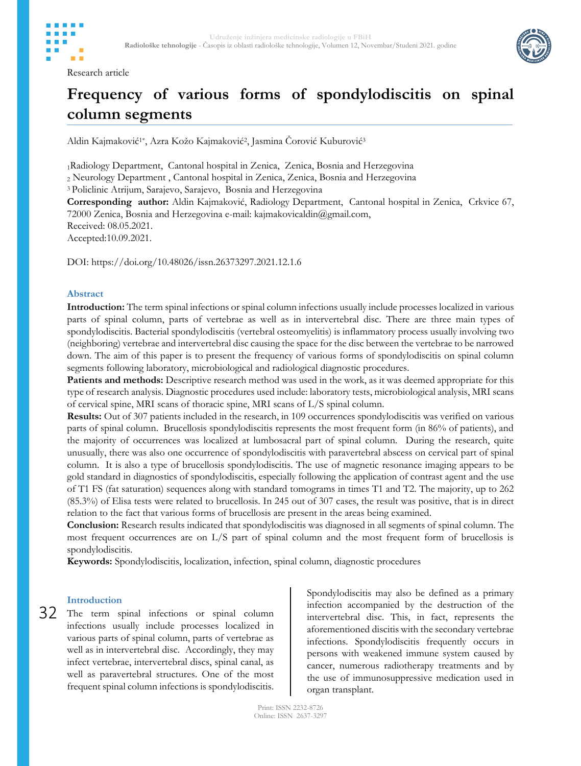

Research article



# **Frequency of various forms of spondylodiscitis on spinal column segments**

Aldin Kajmaković<sup>1</sup>\*, Azra Kožo Kajmaković<sup>2</sup>, Jasmina Čorović Kuburović<sup>3</sup>

<sup>1</sup>Radiology Department, Cantonal hospital in Zenica, Zenica, Bosnia and Herzegovina

<sup>2</sup> Neurology Department , Cantonal hospital in Zenica, Zenica, Bosnia and Herzegovina

<sup>3</sup> Policlinic Atrijum, Sarajevo, Sarajevo, Bosnia and Herzegovina

**Corresponding author:** Aldin Kajmaković, Radiology Department, Cantonal hospital in Zenica, Crkvice 67, 72000 Zenica, Bosnia and Herzegovina e-mail: kajmakovicaldin@gmail.com, Received: 08.05.2021. Accepted:10.09.2021.

DOI: https://doi.org/10.48026/issn.26373297.2021.12.1.6

#### **Abstract**

**Introduction:** The term spinal infections or spinal column infections usually include processes localized in various parts of spinal column, parts of vertebrae as well as in intervertebral disc. There are three main types of spondylodiscitis. Bacterial spondylodiscitis (vertebral osteomyelitis) is inflammatory process usually involving two (neighboring) vertebrae and intervertebral disc causing the space for the disc between the vertebrae to be narrowed down. The aim of this paper is to present the frequency of various forms of spondylodiscitis on spinal column segments following laboratory, microbiological and radiological diagnostic procedures.

**Patients and methods:** Descriptive research method was used in the work, as it was deemed appropriate for this type of research analysis. Diagnostic procedures used include: laboratory tests, microbiological analysis, MRI scans of cervical spine, MRI scans of thoracic spine, MRI scans of L/S spinal column.

**Results:** Out of 307 patients included in the research, in 109 occurrences spondylodiscitis was verified on various parts of spinal column. Brucellosis spondylodiscitis represents the most frequent form (in 86% of patients), and the majority of occurrences was localized at lumbosacral part of spinal column. During the research, quite unusually, there was also one occurrence of spondylodiscitis with paravertebral abscess on cervical part of spinal column. It is also a type of brucellosis spondylodiscitis. The use of magnetic resonance imaging appears to be gold standard in diagnostics of spondylodiscitis, especially following the application of contrast agent and the use of T1 FS (fat saturation) sequences along with standard tomograms in times T1 and T2. The majority, up to 262 (85.3%) of Elisa tests were related to brucellosis. In 245 out of 307 cases, the result was positive, that is in direct relation to the fact that various forms of brucellosis are present in the areas being examined.

**Conclusion:** Research results indicated that spondylodiscitis was diagnosed in all segments of spinal column. The most frequent occurrences are on L/S part of spinal column and the most frequent form of brucellosis is spondylodiscitis.

**Keywords:** Spondylodiscitis, localization, infection, spinal column, diagnostic procedures

### **Introduction**

32 The term spinal infections or spinal column infections usually include processes localized in various parts of spinal column, parts of vertebrae as well as in intervertebral disc. Accordingly, they may infect vertebrae, intervertebral discs, spinal canal, as well as paravertebral structures. One of the most frequent spinal column infections is spondylodiscitis.

Spondylodiscitis may also be defined as a primary infection accompanied by the destruction of the intervertebral disc. This, in fact, represents the aforementioned discitis with the secondary vertebrae infections. Spondylodiscitis frequently occurs in persons with weakened immune system caused by cancer, numerous radiotherapy treatments and by the use of immunosuppressive medication used in organ transplant.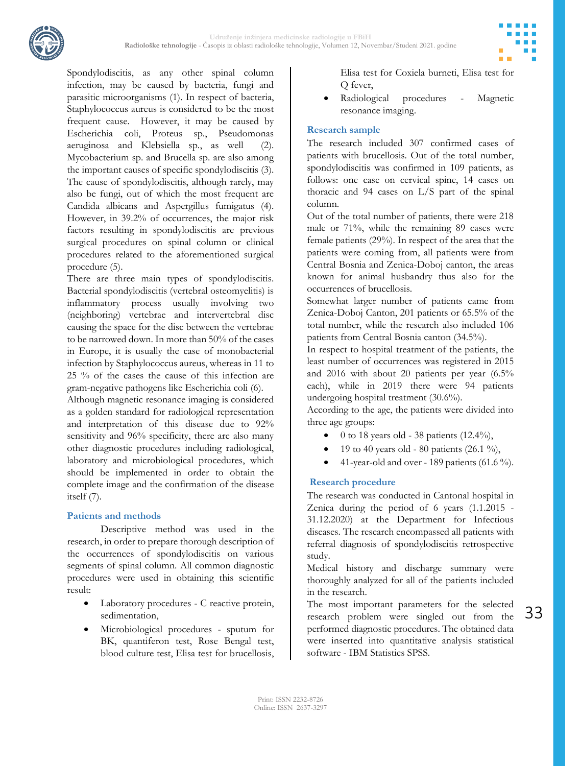

Spondylodiscitis, as any other spinal column infection, may be caused by bacteria, fungi and parasitic microorganisms (1). In respect of bacteria, Staphylococcus aureus is considered to be the most frequent cause. However, it may be caused by Escherichia coli, Proteus sp., Pseudomonas aeruginosa and Klebsiella sp., as well (2). Mycobacterium sp. and Brucella sp. are also among the important causes of specific spondylodiscitis (3). The cause of spondylodiscitis, although rarely, may also be fungi, out of which the most frequent are Candida albicans and Aspergillus fumigatus (4). However, in 39.2% of occurrences, the major risk factors resulting in spondylodiscitis are previous surgical procedures on spinal column or clinical procedures related to the aforementioned surgical procedure (5).

There are three main types of spondylodiscitis. Bacterial spondylodiscitis (vertebral osteomyelitis) is inflammatory process usually involving two (neighboring) vertebrae and intervertebral disc causing the space for the disc between the vertebrae to be narrowed down. In more than 50% of the cases in Europe, it is usually the case of monobacterial infection by Staphylococcus aureus, whereas in 11 to 25 % of the cases the cause of this infection are gram-negative pathogens like Escherichia coli (6).

Although magnetic resonance imaging is considered as a golden standard for radiological representation and interpretation of this disease due to 92% sensitivity and 96% specificity, there are also many other diagnostic procedures including radiological, laboratory and microbiological procedures, which should be implemented in order to obtain the complete image and the confirmation of the disease itself (7).

#### **Patients and methods**

Descriptive method was used in the research, in order to prepare thorough description of the occurrences of spondylodiscitis on various segments of spinal column. All common diagnostic procedures were used in obtaining this scientific result:

- Laboratory procedures C reactive protein, sedimentation,
- Microbiological procedures sputum for BK, quantiferon test, Rose Bengal test, blood culture test, Elisa test for brucellosis,

Elisa test for Coxiela burneti, Elisa test for Q fever,

 Radiological procedures - Magnetic resonance imaging.

#### **Research sample**

The research included 307 confirmed cases of patients with brucellosis. Out of the total number, spondylodiscitis was confirmed in 109 patients, as follows: one case on cervical spine, 14 cases on thoracic and 94 cases on L/S part of the spinal column.

Out of the total number of patients, there were 218 male or 71%, while the remaining 89 cases were female patients (29%). In respect of the area that the patients were coming from, all patients were from Central Bosnia and Zenica-Doboj canton, the areas known for animal husbandry thus also for the occurrences of brucellosis.

Somewhat larger number of patients came from Zenica-Doboj Canton, 201 patients or 65.5% of the total number, while the research also included 106 patients from Central Bosnia canton (34.5%).

In respect to hospital treatment of the patients, the least number of occurrences was registered in 2015 and 2016 with about 20 patients per year (6.5% each), while in 2019 there were 94 patients undergoing hospital treatment (30.6%).

According to the age, the patients were divided into three age groups:

- 0 to 18 years old 38 patients (12.4%),
- 19 to 40 years old 80 patients (26.1 %),
- 41-year-old and over 189 patients (61.6 %).

#### **Research procedure**

The research was conducted in Cantonal hospital in Zenica during the period of 6 years (1.1.2015 - 31.12.2020) at the Department for Infectious diseases. The research encompassed all patients with referral diagnosis of spondylodiscitis retrospective study.

Medical history and discharge summary were thoroughly analyzed for all of the patients included in the research.

The most important parameters for the selected research problem were singled out from the performed diagnostic procedures. The obtained data were inserted into quantitative analysis statistical software - IBM Statistics SPSS.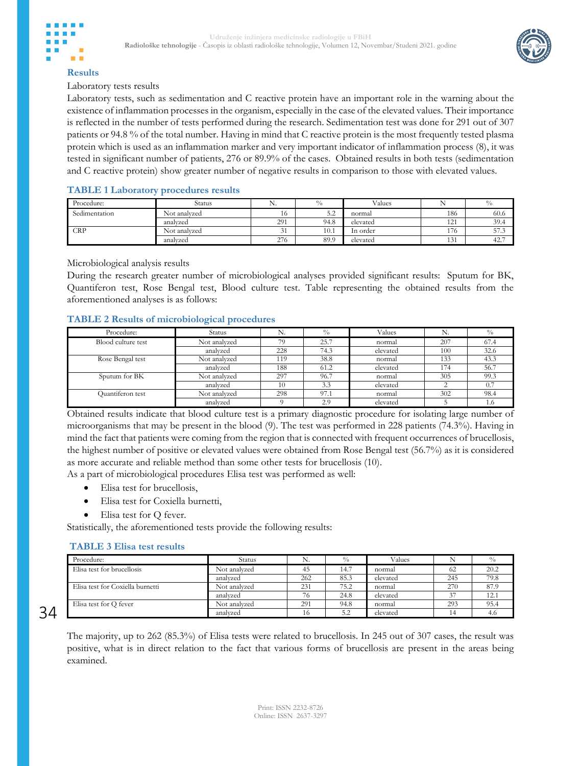



#### **Results**

Laboratory tests results

Laboratory tests, such as sedimentation and C reactive protein have an important role in the warning about the existence of inflammation processes in the organism, especially in the case of the elevated values. Their importance is reflected in the number of tests performed during the research. Sedimentation test was done for 291 out of 307 patients or 94.8 % of the total number. Having in mind that C reactive protein is the most frequently tested plasma protein which is used as an inflammation marker and very important indicator of inflammation process (8), it was tested in significant number of patients, 276 or 89.9% of the cases. Obtained results in both tests (sedimentation and C reactive protein) show greater number of negative results in comparison to those with elevated values.

#### **TABLE 1 Laboratory procedures results**

| Procedure:    | Status       | ΙN.           | $\frac{0}{0}$ | Values   |     | $^{0}/_{0}$ |
|---------------|--------------|---------------|---------------|----------|-----|-------------|
| Sedimentation | Not analvzed | 16            | 50<br>ے ر     | normal   | 186 | 60.6        |
|               | analyzed     | 291           | 94.8          | elevated | 121 | 39.4        |
| <b>CRP</b>    | Not analvzed | $\sim$<br>IJГ | 10.1          | In order | 176 | 57.3        |
|               | analyzed     | 276           | 89.9          | elevated | 131 | 42.7        |

Microbiological analysis results

During the research greater number of microbiological analyses provided significant results: Sputum for BK, Quantiferon test, Rose Bengal test, Blood culture test. Table representing the obtained results from the aforementioned analyses is as follows:

#### **TABLE 2 Results of microbiological procedures**

| Procedure:         | <b>Status</b> | N.  | $^{0}/_{0}$ | Values   | N.  | $^{0}/_{0}$ |
|--------------------|---------------|-----|-------------|----------|-----|-------------|
| Blood culture test | Not analyzed  | 79  | 25.7        | normal   | 207 | 67.4        |
|                    | analyzed      | 228 | 74.3        | elevated | 100 | 32.6        |
| Rose Bengal test   | Not analyzed  | 119 | 38.8        | normal   | 133 | 43.3        |
|                    | analyzed      | 188 | 61.2        | elevated | 174 | 56.7        |
| Sputum for BK      | Not analyzed  | 297 | 96.7        | normal   | 305 | 99.3        |
|                    | analyzed      | 10  | 3.3         | elevated |     | 0.7         |
| Quantiferon test   | Not analyzed  | 298 | 97.1        | normal   | 302 | 98.4        |
|                    | analyzed      |     | 2.9         | elevated |     | 1.6         |

Obtained results indicate that blood culture test is a primary diagnostic procedure for isolating large number of microorganisms that may be present in the blood (9). The test was performed in 228 patients (74.3%). Having in mind the fact that patients were coming from the region that is connected with frequent occurrences of brucellosis, the highest number of positive or elevated values were obtained from Rose Bengal test (56.7%) as it is considered as more accurate and reliable method than some other tests for brucellosis (10).

As a part of microbiological procedures Elisa test was performed as well:

- Elisa test for brucellosis,
- Elisa test for Coxiella burnetti,
- Elisa test for Q fever.

Statistically, the aforementioned tests provide the following results:

#### **TABLE 3 Elisa test results**

| Procedure:                       | Status       | IN. | $\frac{0}{0}$ | Values   |     |      |
|----------------------------------|--------------|-----|---------------|----------|-----|------|
| Elisa test for brucellosis       | Not analyzed | 45  | 14.7          | normal   | 62  | 20.2 |
|                                  | analyzed     | 262 | 85.3          | elevated | 245 | 79.8 |
| Elisa test for Coxiella burnetti | Not analyzed | 231 | 75.2          | normal   | 270 | 87.9 |
|                                  | analyzed     | 76  | 24.8          | elevated | 37  | 12.1 |
| Elisa test for Q fever           | Not analyzed | 291 | 94.8          | normal   | 293 | 95.4 |
|                                  | analyzed     | 16  | 5.2           | elevated |     | 4.0  |

34

The majority, up to 262 (85.3%) of Elisa tests were related to brucellosis. In 245 out of 307 cases, the result was positive, what is in direct relation to the fact that various forms of brucellosis are present in the areas being examined.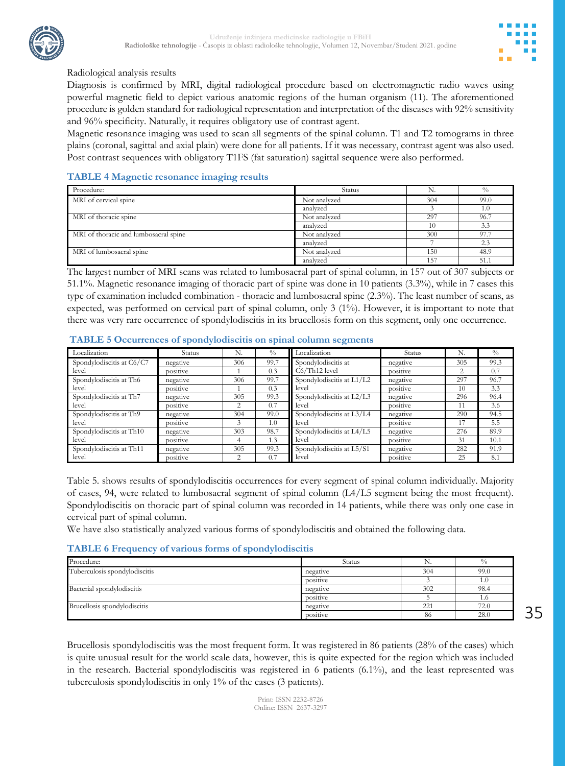

#### Radiological analysis results

Diagnosis is confirmed by MRI, digital radiological procedure based on electromagnetic radio waves using powerful magnetic field to depict various anatomic regions of the human organism (11). The aforementioned procedure is golden standard for radiological representation and interpretation of the diseases with 92% sensitivity and 96% specificity. Naturally, it requires obligatory use of contrast agent.

Magnetic resonance imaging was used to scan all segments of the spinal column. T1 and T2 tomograms in three plains (coronal, sagittal and axial plain) were done for all patients. If it was necessary, contrast agent was also used. Post contrast sequences with obligatory T1FS (fat saturation) sagittal sequence were also performed.

#### **TABLE 4 Magnetic resonance imaging results**

| Procedure:                            | <b>Status</b> |     | $^{0}/_{0}$ |
|---------------------------------------|---------------|-----|-------------|
| MRI of cervical spine                 | Not analyzed  | 304 | 99.0        |
|                                       | analyzed      |     | 1.0         |
| MRI of thoracic spine                 | Not analyzed  | 297 | 96.7        |
|                                       | analyzed      | 10  | 3.3         |
| MRI of thoracic and lumbosacral spine | Not analyzed  | 300 | 97.7        |
|                                       | analyzed      |     | 2.3         |
| MRI of lumbosacral spine              | Not analyzed  | 150 | 48.9        |
|                                       | analyzed      | 157 | 51.1        |

The largest number of MRI scans was related to lumbosacral part of spinal column, in 157 out of 307 subjects or 51.1%. Magnetic resonance imaging of thoracic part of spine was done in 10 patients (3.3%), while in 7 cases this type of examination included combination - thoracic and lumbosacral spine (2.3%). The least number of scans, as expected, was performed on cervical part of spinal column, only 3 (1%). However, it is important to note that there was very rare occurrence of spondylodiscitis in its brucellosis form on this segment, only one occurrence.

#### Localization Status N. N. N. Localization Status N. W Spondylodiscitis at C6/C7 level negative 306 99.7 Spondylodiscitis at<br>nositive 1 0.3 C6/Th12 level C6/Th12 level negative 305 99.3 positive 1 0.3 C6/Th12 level positive 2 0.7 Spondylodiscitis at Th6 level negative 306 99.7 Spondylodiscitis at L1/L2<br>positive 1 0.3 level level negative 297 96.7<br>positive 10 3.3 positive 1 0.3 evel positive 10 3.3 Spondylodiscitis at Th7 level negative  $\begin{array}{|l|c|c|c|c|}\n \hline\n 305 & 99.3 & \text{Spondylodiscitis at L2/L3} \\
 \hline\n 2007 & level & \text{level} & \text{level} & \text{level} & \text{level} & \text{level} & \text{level} & \text{level} & \text{level} & \text{level} & \text{level} & \text{level} & \text{level} & \text{level} & \text{level} & \text{level} & \text{level} & \text{level} & \text{level} & \text{level} & \text{level} & \text{level} & \text{level} & \text{level} & \text{level} & \text{level} &$ level negative 296 96.4<br>positive 11 3.6 positive 2 0.7 evel by positive 11 3.6 Spondylodiscitis at Th9 level negative 304 99.0 Spondylodiscitis at L3/L4 level negative 290 94.5 positive 3 1.0 evel positive 17 5.5 Spondylodiscitis at Th10 level negative 303 98.7 Spondylodiscitis at L4/L5 level negative 276 89.9 positive 4 1.3 evel positive 31 10.1 Spondylodiscitis at Th11 level negative 305 99.3 Spondylodiscitis at L5/S1<br>nositive 2 0.7 level level negative 282 91.9<br>
positive 25 8.1 positive 2 0.7 evel by positive 25 8.1

#### **TABLE 5 Occurrences of spondylodiscitis on spinal column segments**

Table 5. shows results of spondylodiscitis occurrences for every segment of spinal column individually. Majority of cases, 94, were related to lumbosacral segment of spinal column (L4/L5 segment being the most frequent). Spondylodiscitis on thoracic part of spinal column was recorded in 14 patients, while there was only one case in cervical part of spinal column.

We have also statistically analyzed various forms of spondylodiscitis and obtained the following data.

#### **TABLE 6 Frequency of various forms of spondylodiscitis**

| Procedure:                    | Status   | IN. | $\frac{0}{0}$ |
|-------------------------------|----------|-----|---------------|
| Tuberculosis spondylodiscitis | negative | 304 | 99.0          |
|                               | positive |     | 1.U           |
| Bacterial spondylodiscitis    | negative | 302 | 98.4          |
|                               | positive |     | 1.0           |
| Brucellosis spondylodiscitis  | negative | 221 | 72.0          |
|                               | positive | -86 | 28.0          |

35

Brucellosis spondylodiscitis was the most frequent form. It was registered in 86 patients (28% of the cases) which is quite unusual result for the world scale data, however, this is quite expected for the region which was included in the research. Bacterial spondylodiscitis was registered in 6 patients (6.1%), and the least represented was tuberculosis spondylodiscitis in only 1% of the cases (3 patients).

> Print: ISSN 2232-8726 Online: ISSN 2637-3297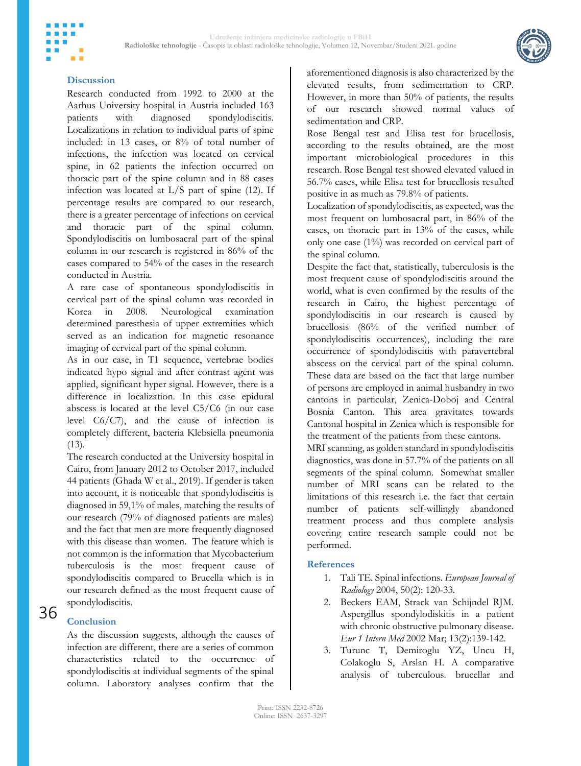

#### **Discussion**

m m

Research conducted from 1992 to 2000 at the Aarhus University hospital in Austria included 163 patients with diagnosed spondylodiscitis. Localizations in relation to individual parts of spine included: in 13 cases, or 8% of total number of infections, the infection was located on cervical spine, in 62 patients the infection occurred on thoracic part of the spine column and in 88 cases infection was located at L/S part of spine (12). If percentage results are compared to our research, there is a greater percentage of infections on cervical and thoracic part of the spinal column. Spondylodiscitis on lumbosacral part of the spinal column in our research is registered in 86% of the cases compared to 54% of the cases in the research conducted in Austria.

A rare case of spontaneous spondylodiscitis in cervical part of the spinal column was recorded in Korea in 2008. Neurological examination determined paresthesia of upper extremities which served as an indication for magnetic resonance imaging of cervical part of the spinal column.

As in our case, in T1 sequence, vertebrae bodies indicated hypo signal and after contrast agent was applied, significant hyper signal. However, there is a difference in localization. In this case epidural abscess is located at the level C5/C6 (in our case level C6/C7), and the cause of infection is completely different, bacteria Klebsiella pneumonia (13).

The research conducted at the University hospital in Cairo, from January 2012 to October 2017, included 44 patients (Ghada W et al., 2019). If gender is taken into account, it is noticeable that spondylodiscitis is diagnosed in 59,1% of males, matching the results of our research (79% of diagnosed patients are males) and the fact that men are more frequently diagnosed with this disease than women. The feature which is not common is the information that Mycobacterium tuberculosis is the most frequent cause of spondylodiscitis compared to Brucella which is in our research defined as the most frequent cause of spondylodiscitis.

## 36

#### **Conclusion**

As the discussion suggests, although the causes of infection are different, there are a series of common characteristics related to the occurrence of spondylodiscitis at individual segments of the spinal column. Laboratory analyses confirm that the

aforementioned diagnosis is also characterized by the elevated results, from sedimentation to CRP. However, in more than 50% of patients, the results of our research showed normal values of sedimentation and CRP.

Rose Bengal test and Elisa test for brucellosis, according to the results obtained, are the most important microbiological procedures in this research. Rose Bengal test showed elevated valued in 56.7% cases, while Elisa test for brucellosis resulted positive in as much as 79.8% of patients.

Localization of spondylodiscitis, as expected, was the most frequent on lumbosacral part, in 86% of the cases, on thoracic part in 13% of the cases, while only one case (1%) was recorded on cervical part of the spinal column.

Despite the fact that, statistically, tuberculosis is the most frequent cause of spondylodiscitis around the world, what is even confirmed by the results of the research in Cairo, the highest percentage of spondylodiscitis in our research is caused by brucellosis (86% of the verified number of spondylodiscitis occurrences), including the rare occurrence of spondylodiscitis with paravertebral abscess on the cervical part of the spinal column. These data are based on the fact that large number of persons are employed in animal husbandry in two cantons in particular, Zenica-Doboj and Central Bosnia Canton. This area gravitates towards Cantonal hospital in Zenica which is responsible for the treatment of the patients from these cantons.

MRI scanning, as golden standard in spondylodiscitis diagnostics, was done in 57.7% of the patients on all segments of the spinal column. Somewhat smaller number of MRI scans can be related to the limitations of this research i.e. the fact that certain number of patients self-willingly abandoned treatment process and thus complete analysis covering entire research sample could not be performed.

#### **References**

- 1. Tali TE. Spinal infections. *European Journal of Radiology* 2004, 50(2): 120-33.
- 2. Beckers EAM, Strack van Schijndel RJM. Aspergillus spondylodiskitis in a patient with chronic obstructive pulmonary disease. *Eur 1 Intern Med* 2002 Mar; 13(2):139-142.
- 3. Turunc T, Demiroglu YZ, Uncu H, Colakoglu S, Arslan H. A comparative analysis of tuberculous. brucellar and